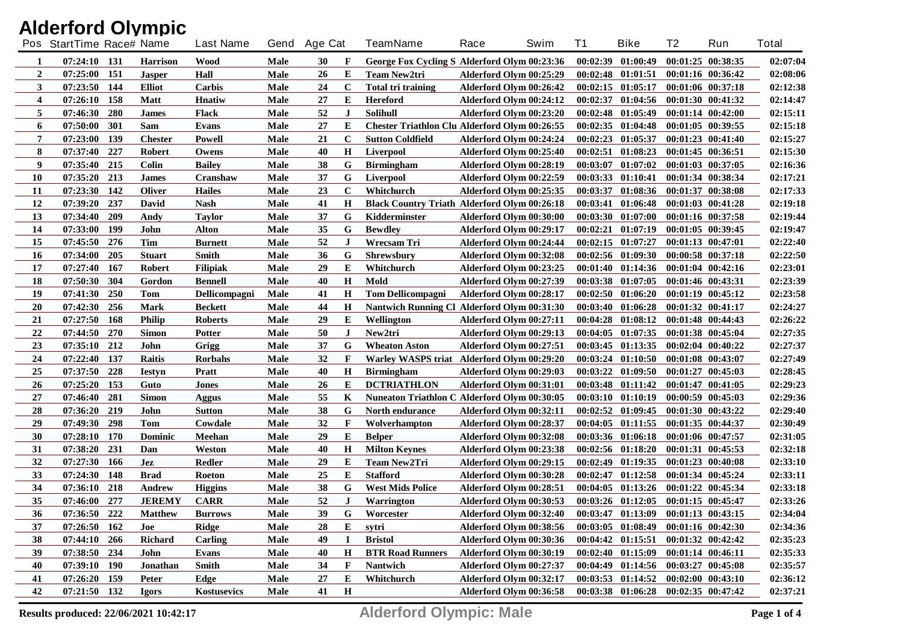| <b>Alderford Olympic</b> |                          |     |                 |                  |      |              |                         |                                                      |      |                         |          |                                             |                       |     |              |
|--------------------------|--------------------------|-----|-----------------|------------------|------|--------------|-------------------------|------------------------------------------------------|------|-------------------------|----------|---------------------------------------------|-----------------------|-----|--------------|
|                          | Pos StartTime Race# Name |     |                 | <b>Last Name</b> |      | Gend Age Cat |                         | <b>TeamName</b>                                      | Race | Swim                    | T1       | <b>Bike</b>                                 | T2                    | Run | <b>Total</b> |
| -1                       | 07:24:10 131             |     | <b>Harrison</b> | Wood             | Male | 30           | F                       | George Fox Cycling S Alderford Olym 00:23:36         |      |                         |          | $00:02:39$ $01:00:49$                       | $00:01:25$ $00:38:35$ |     | 02:07:04     |
| $\overline{2}$           | 07:25:00                 | 151 | <b>Jasper</b>   | Hall             | Male | 26           | E                       | <b>Team New2tri</b>                                  |      | Alderford Olym 00:25:29 |          | $00:02:48$ $01:01:51$                       | $00:01:16$ $00:36:42$ |     | 02:08:06     |
| $3^{\circ}$              | 07:23:50                 | 144 | <b>Elliot</b>   | Carbis           | Male | 24           | $\mathbf C$             | <b>Total tri training</b>                            |      | Alderford Olym 00:26:42 |          | $00:02:15$ $01:05:17$                       | $00:01:06$ $00:37:18$ |     | 02:12:38     |
| 4                        | 07:26:10                 | 158 | Matt            | <b>H</b> natiw   | Male | 27           | E                       | <b>Hereford</b>                                      |      | Alderford Olym 00:24:12 | 00:02:37 | 01:04:56                                    | $00:01:30$ $00:41:32$ |     | 02:14:47     |
| 5                        | 07:46:30                 | 280 | <b>James</b>    | Flack            | Male | 52           | $\bf J$                 | Solihull                                             |      | Alderford Olym 00:23:20 |          | $00:02:48$ $01:05:49$                       | $00:01:14$ $00:42:00$ |     | 02:15:11     |
| 6                        | 07:50:00                 | 301 | Sam             | Evans            | Male | 27           | E                       | <b>Chester Triathlon Clu Alderford Olym 00:26:55</b> |      |                         |          | $00:02:35$ $01:04:48$                       | $00:01:05$ 00:39:55   |     | 02:15:18     |
| 7                        | 07:23:00                 | 139 | <b>Chester</b>  | Powell           | Male | 21           | $\mathbf C$             | <b>Sutton Coldfield</b>                              |      | Alderford Olym 00:24:24 |          | $00:02:23$ $01:05:37$                       | 00:01:23 00:41:40     |     | 02:15:27     |
| 8                        | 07:37:40                 | 227 | <b>Robert</b>   | Owens            | Male | 40           | $\mathbf H$             | Liverpool                                            |      | Alderford Olym 00:25:40 |          | $00:02:51$ $01:08:23$                       | 00:01:45 00:36:51     |     | 02:15:30     |
| 9                        | 07:35:40                 | 215 | <b>Colin</b>    | <b>Bailey</b>    | Male | 38           | G                       | <b>Birmingham</b>                                    |      | Alderford Olym 00:28:19 | 00:03:07 | 01:07:02                                    | 00:01:03 00:37:05     |     | 02:16:36     |
| 10                       | 07:35:20                 | 213 | <b>James</b>    | Cranshaw         | Male | 37           | G                       | Liverpool                                            |      | Alderford Olym 00:22:59 |          | $00:03:33$ $01:10:41$                       | 00:01:34 00:38:34     |     | 02:17:21     |
| 11                       | 07:23:30                 | 142 | <b>Oliver</b>   | <b>Hailes</b>    | Male | 23           | $\mathbf C$             | Whitchurch                                           |      | Alderford Olym 00:25:35 | 00:03:37 | 01:08:36 00:01:37 00:38:08                  |                       |     | 02:17:33     |
| 12                       | 07:39:20                 | 237 | David           | <b>Nash</b>      | Male | 41           | $\bf H$                 | <b>Black Country Triath Alderford Olym 00:26:18</b>  |      |                         |          | 00:03:41 01:06:48                           | $00:01:03$ $00:41:28$ |     | 02:19:18     |
| 13                       | 07:34:40                 | 209 | Andy            | <b>Taylor</b>    | Male | 37           | G                       | Kidderminster                                        |      | Alderford Olym 00:30:00 |          | $00:03:30$ $01:07:00$                       | $00:01:16$ $00:37:58$ |     | 02:19:44     |
| 14                       | 07:33:00                 | 199 | John            | Alton            | Male | 35           | G                       | <b>Bewdley</b>                                       |      | Alderford Olym 00:29:17 |          | $00:02:21$ $01:07:19$                       | $00:01:05$ $00:39:45$ |     | 02:19:47     |
| 15                       | 07:45:50                 | 276 | Tim             | <b>Burnett</b>   | Male | 52           | $\bf J$                 | Wrecsam Tri                                          |      | Alderford Olym 00:24:44 |          | $00:02:15$ $01:07:27$                       | 00:01:13 00:47:01     |     | 02:22:40     |
| 16                       | 07:34:00                 | 205 | <b>Stuart</b>   | <b>Smith</b>     | Male | 36           | G                       | <b>Shrewsbury</b>                                    |      | Alderford Olym 00:32:08 |          | $00:02:56$ $01:09:30$                       | $00:00:58$ $00:37:18$ |     | 02:22:50     |
| 17                       | 07:27:40                 | 167 | <b>Robert</b>   | <b>Filipiak</b>  | Male | 29           | E                       | Whitchurch                                           |      | Alderford Olym 00:23:25 |          | 00:01:40 01:14:36 00:01:04 00:42:16         |                       |     | 02:23:01     |
| 18                       | 07:50:30                 | 304 | Gordon          | <b>Bennell</b>   | Male | 40           | $\mathbf H$             | Mold                                                 |      | Alderford Olym 00:27:39 |          | 00:03:38 01:07:05                           | 00:01:46 00:43:31     |     | 02:23:39     |
| 19                       | 07:41:30                 | 250 | Tom             | Dellicompagni    | Male | 41           | $\bf H$                 | <b>Tom Dellicompagni</b>                             |      | Alderford Olym 00:28:17 |          | $00:02:50$ $01:06:20$                       | $00:01:19$ $00:45:12$ |     | 02:23:58     |
| 20                       | 07:42:30                 | 256 | Mark            | <b>Beckett</b>   | Male | 44           | H                       | <b>Nantwich Running Cl Alderford Olym 00:31:30</b>   |      |                         |          | $00:03:40$ $01:06:28$                       | $00:01:32$ $00:41:17$ |     | 02:24:27     |
| 21                       | 07:27:50                 | 168 | <b>Philip</b>   | <b>Roberts</b>   | Male | 29           | E                       | Wellington                                           |      | Alderford Olym 00:27:11 |          | $00:04:28$ $01:08:12$ $00:01:48$ $00:44:43$ |                       |     | 02:26:22     |
| 22                       | 07:44:50                 | 270 | <b>Simon</b>    | <b>Potter</b>    | Male | 50           | J                       | New2tri                                              |      | Alderford Olym 00:29:13 |          | $00:04:05$ $01:07:35$                       | 00:01:38 00:45:04     |     | 02:27:35     |
| 23                       | 07:35:10                 | 212 | John            | Grigg            | Male | 37           | G                       | <b>Wheaton Aston</b>                                 |      | Alderford Olym 00:27:51 |          | $00:03:45$ $01:13:35$                       | $00:02:04$ $00:40:22$ |     | 02:27:37     |
| 24                       | 07:22:40                 | 137 | <b>Raitis</b>   | Rorbahs          | Male | 32           | F                       | Warley WASPS triat Alderford Olym 00:29:20           |      |                         |          | $00:03:24$ $01:10:50$                       | $00:01:08$ $00:43:07$ |     | 02:27:49     |
| 25                       | 07:37:50                 | 228 | <b>Iestyn</b>   | Pratt            | Male | 40           | Н                       | <b>Birmingham</b>                                    |      | Alderford Olym 00:29:03 |          | $00:03:22$ $01:09:50$                       | $00:01:27$ $00:45:03$ |     | 02:28:45     |
| 26                       | 07:25:20                 | 153 | Guto            | Jones            | Male | 26           | Е                       | <b>DCTRIATHLON</b>                                   |      | Alderford Olym 00:31:01 |          | $00:03:48$ $01:11:42$                       | 00:01:47 00:41:05     |     | 02:29:23     |
| 27                       | 07:46:40                 | 281 | <b>Simon</b>    | Aggus            | Male | 55           | K                       | <b>Nuneaton Triathlon C Alderford Olym 00:30:05</b>  |      |                         |          | $00:03:10$ $01:10:19$                       | $00:00:59$ $00:45:03$ |     | 02:29:36     |
| 28                       | 07:36:20                 | 219 | John            | <b>Sutton</b>    | Male | 38           | G                       | North endurance                                      |      | Alderford Olym 00:32:11 |          | $00:02:52$ $01:09:45$                       | $00:01:30$ $00:43:22$ |     | 02:29:40     |
| 29                       | 07:49:30                 | 298 | Tom             | Cowdale          | Male | 32           | F                       | Wolverhampton                                        |      | Alderford Olym 00:28:37 |          | $00:04:05$ $01:11:55$                       | $00:01:35$ $00:44:37$ |     | 02:30:49     |
| 30                       | 07:28:10                 | 170 | <b>Dominic</b>  | Meehan           | Male | 29           | E                       | <b>Belper</b>                                        |      | Alderford Olym 00:32:08 |          | $00:03:36$ $01:06:18$                       | $00:01:06$ $00:47:57$ |     | 02:31:05     |
| 31                       | 07:38:20                 | 231 | Dan             | Weston           | Male | 40           | Н                       | <b>Milton Keynes</b>                                 |      | Alderford Olym 00:23:38 |          | $00:02:56$ $01:18:20$                       | 00:01:31 00:45:53     |     | 02:32:18     |
| 32                       | 07:27:30                 | 166 | Jez             | Redler           | Male | 29           | E                       | <b>Team New2Tri</b>                                  |      | Alderford Olym 00:29:15 |          | $00:02:49$ $01:19:35$                       | $00:01:23$ $00:40:08$ |     | 02:33:10     |
| 33                       | 07:24:30                 | 148 | <b>Brad</b>     | <b>Roeton</b>    | Male | 25           | E                       | <b>Stafford</b>                                      |      | Alderford Olym 00:30:28 |          | $00:02:47$ $01:12:58$                       | $00:01:34$ $00:45:24$ |     | 02:33:11     |
| 34                       | 07:36:10 218             |     | Andrew          | <b>Higgins</b>   | Male | 38           | G                       | <b>West Mids Police</b>                              |      | Alderford Olym 00:28:51 |          | 00:04:05 01:13:26 00:01:22 00:45:34         |                       |     | 02:33:18     |
| 35                       | 07:46:00 277             |     | <b>JEREMY</b>   | <b>CARR</b>      | Male | 52           | $\overline{\mathbf{I}}$ | Warrington                                           |      | Alderford Olym 00:30:53 |          | 00:03:26 01:12:05 00:01:15 00:45:47         |                       |     | 02:33:26     |
| 36                       | 07:36:50 222             |     | <b>Matthew</b>  | <b>Burrows</b>   | Male | 39           | G                       | Worcester                                            |      | Alderford Olym 00:32:40 |          | $00:03:47$ $01:13:09$                       | 00:01:13 00:43:15     |     | 02:34:04     |
| 37                       | 07:26:50 162             |     | Joe             | Ridge            | Male | 28           | E                       | sytri                                                |      | Alderford Olym 00:38:56 |          | 00:03:05 01:08:49 00:01:16 00:42:30         |                       |     | 02:34:36     |
| 38                       | 07:44:10 266             |     | <b>Richard</b>  | Carling          | Male | 49           | 1                       | <b>Bristol</b>                                       |      | Alderford Olym 00:30:36 |          | 00:04:42 01:15:51 00:01:32 00:42:42         |                       |     | 02:35:23     |
| 39                       | 07:38:50 234             |     | John            | Evans            | Male | 40           | Н                       | <b>BTR Road Runners</b>                              |      | Alderford Olym 00:30:19 |          | $00:02:40$ $01:15:09$                       | 00:01:14 00:46:11     |     | 02:35:33     |
| 40                       | 07:39:10 190             |     | Jonathan        | Smith            | Male | 34           | F                       | Nantwich                                             |      | Alderford Olym 00:27:37 |          | 00:04:49 01:14:56 00:03:27 00:45:08         |                       |     | 02:35:57     |
| 41                       | 07:26:20 159             |     | Peter           | Edge             | Male | 27           | E                       | Whitchurch                                           |      | Alderford Olym 00:32:17 |          | 00:03:53 01:14:52 00:02:00 00:43:10         |                       |     | 02:36:12     |
| 42                       | 07:21:50 132             |     | <b>Igors</b>    | Kostusevics      | Male | 41           | $\mathbf H$             |                                                      |      | Alderford Olym 00:36:58 |          | 00:03:38 01:06:28 00:02:35 00:47:42         |                       |     | 02:37:21     |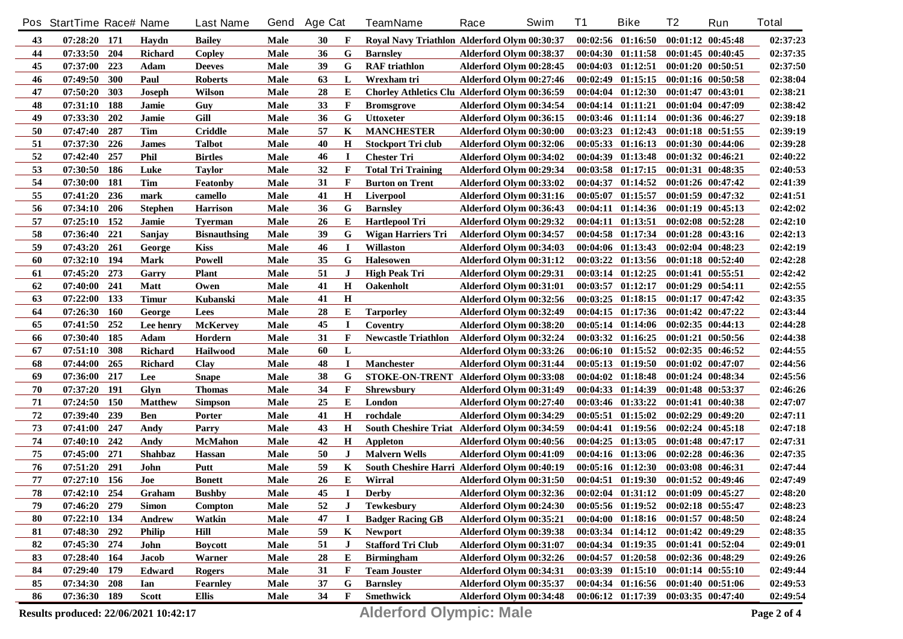|        | Pos StartTime Race# Name              |            |                | <b>Last Name</b>    | Gend | <b>Age Cat</b> |              | <b>TeamName</b>                               | Race                    | Swim | <b>T1</b> | <b>Bike</b>                         | T <sub>2</sub>        | Run                   | <b>Total</b> |
|--------|---------------------------------------|------------|----------------|---------------------|------|----------------|--------------|-----------------------------------------------|-------------------------|------|-----------|-------------------------------------|-----------------------|-----------------------|--------------|
| 43     | $07:28:20$ 171                        |            | Havdn          | <b>Bailey</b>       | Male | 30             | F            | Royal Navy Triathlon Alderford Olym 00:30:37  |                         |      |           | $00:02:56$ $01:16:50$               | $00:01:12$ $00:45:48$ |                       | 02:37:23     |
| 44     | 07:33:50                              | 204        | <b>Richard</b> | Copley              | Male | 36             | G            | <b>Barnsley</b>                               | Alderford Olym 00:38:37 |      |           | 00:04:30 01:11:58 00:01:45 00:40:45 |                       |                       | 02:37:35     |
| 45     | 07:37:00                              | 223        | Adam           | <b>Deeves</b>       | Male | 39             | G            | <b>RAF</b> triathlon                          | Alderford Olym 00:28:45 |      |           | $00:04:03$ $01:12:51$               | $00:01:20$ $00:50:51$ |                       | 02:37:50     |
| 46     | 07:49:50                              | 300        | Paul           | <b>Roberts</b>      | Male | 63             | L            | Wrexham tri                                   | Alderford Olym 00:27:46 |      |           | 00:02:49 01:15:15 00:01:16 00:50:58 |                       |                       | 02:38:04     |
| 47     | 07:50:20                              | 303        | <b>Joseph</b>  | <b>Wilson</b>       | Male | 28             | E            | Chorley Athletics Clu Alderford Olym 00:36:59 |                         |      |           | $00:04:04$ $01:12:30$               | $00:01:47$ $00:43:01$ |                       | 02:38:21     |
| 48     | 07:31:10                              | 188        | Jamie          | Guy                 | Male | 33             | $\mathbf{F}$ | <b>Bromsgrove</b>                             | Alderford Olym 00:34:54 |      |           | $00:04:14$ $01:11:21$               | 00:01:04 00:47:09     |                       | 02:38:42     |
| 49     | 07:33:30                              | 202        | Jamie          | Gill                | Male | 36             | G            | <b>Uttoxeter</b>                              | Alderford Olym 00:36:15 |      |           | $00:03:46$ $01:11:14$               | 00:01:36 00:46:27     |                       | 02:39:18     |
| 50     | 07:47:40                              | 287        | Tim            | <b>Criddle</b>      | Male | 57             | K            | <b>MANCHESTER</b>                             | Alderford Olym 00:30:00 |      |           | $00:03:23$ $01:12:43$               | $00:01:18$ $00:51:55$ |                       | 02:39:19     |
| 51     | 07:37:30                              | 226        | <b>James</b>   | <b>Talbot</b>       | Male | 40             | Н            | <b>Stockport Tri club</b>                     | Alderford Olym 00:32:06 |      |           | $00:05:33$ $01:16:13$               | 00:01:30 00:44:06     |                       | 02:39:28     |
| 52     | 07:42:40                              | 257        | <b>Phil</b>    | <b>Birtles</b>      | Male | 46             | п            | <b>Chester Tri</b>                            | Alderford Olym 00:34:02 |      |           | $00:04:39$ $01:13:48$               | 00:01:32 00:46:21     |                       | 02:40:22     |
| 53     | 07:30:50                              | 186        | Luke           | <b>Taylor</b>       | Male | 32             | F            | <b>Total Tri Training</b>                     | Alderford Olym 00:29:34 |      |           | $00:03:58$ $01:17:15$               | 00:01:31 00:48:35     |                       | 02:40:53     |
| 54     | 07:30:00                              | 181        | Tim            | Featonby            | Male | 31             | F            | <b>Burton on Trent</b>                        | Alderford Olym 00:33:02 |      | 00:04:37  | 01:14:52                            | $00:01:26$ $00:47:42$ |                       | 02:41:39     |
| 55     | 07:41:20                              | 236        | mark           | camello             | Male | 41             | Н            | Liverpool                                     | Alderford Olym 00:31:16 |      | 00:05:07  | 01:15:57                            | 00:01:59 00:47:32     |                       | 02:41:51     |
| 56     | 07:34:10                              | 206        | <b>Stephen</b> | <b>Harrison</b>     | Male | 36             | G            | <b>Barnsley</b>                               | Alderford Olym 00:36:43 |      |           | $00:04:11$ $01:14:36$               | $00:01:19$ $00:45:13$ |                       | 02:42:02     |
| 57     | 07:25:10                              | 152        | Jamie          | <b>Tyerman</b>      | Male | 26             | Е            | <b>Hartlepool Tri</b>                         | Alderford Olym 00:29:32 |      |           | $00:04:11$ $01:13:51$               | $00:02:08$ $00:52:28$ |                       | 02:42:10     |
| 58     | 07:36:40                              | 221        | Sanjay         | <b>Bisnauthsing</b> | Male | 39             | G            | <b>Wigan Harriers Tri</b>                     | Alderford Olym 00:34:57 |      |           | 00:04:58 01:17:34                   | $00:01:28$ $00:43:16$ |                       | 02:42:13     |
| 59     | 07:43:20                              | 261        | George         | <b>Kiss</b>         | Male | 46             | <b>I</b>     | <b>Willaston</b>                              | Alderford Olym 00:34:03 |      |           | 00:04:06 01:13:43                   | $00:02:04$ $00:48:23$ |                       | 02:42:19     |
| 60     | 07:32:10 194                          |            | <b>Mark</b>    | Powell              | Male | 35             | G            | Halesowen                                     | Alderford Olym 00:31:12 |      |           | $00:03:22$ $01:13:56$               | $00:01:18$ $00:52:40$ |                       | 02:42:28     |
| 61     | 07:45:20                              | 273        | Garry          | <b>Plant</b>        | Male | 51             | $\bf J$      | <b>High Peak Tri</b>                          | Alderford Olym 00:29:31 |      |           | $00:03:14$ $01:12:25$               | 00:01:41 00:55:51     |                       | 02:42:42     |
| 62     | 07:40:00                              | 241        | <b>Matt</b>    | Owen                | Male | 41             | $\mathbf H$  | <b>Oakenholt</b>                              | Alderford Olym 00:31:01 |      |           | $00:03:57$ $01:12:17$               | 00:01:29 00:54:11     |                       | 02:42:55     |
| 63     | 07:22:00                              | 133        | <b>Timur</b>   | Kubanski            | Male | 41             | $\mathbf H$  |                                               | Alderford Olym 00:32:56 |      |           | $00:03:25$ $01:18:15$               | $00:01:17$ $00:47:42$ |                       | 02:43:35     |
| 64     | 07:26:30                              | <b>160</b> | George         | Lees                | Male | 28             | Е            | <b>Tarporley</b>                              | Alderford Olym 00:32:49 |      |           | $00:04:15$ $01:17:36$               | $00:01:42$ $00:47:22$ |                       | 02:43:44     |
| 65     | 07:41:50                              | 252        | Lee henry      | <b>McKervey</b>     | Male | 45             | $\mathbf I$  | Coventry                                      | Alderford Olym 00:38:20 |      |           | $00:05:14$ $01:14:06$               | $00:02:35$ $00:44:13$ |                       | 02:44:28     |
| 66     | 07:30:40                              | 185        | Adam           | Hordern             | Male | 31             | F            | <b>Newcastle Triathlon</b>                    | Alderford Olym 00:32:24 |      |           | $00:03:32$ $01:16:25$               | 00:01:21 00:50:56     |                       | 02:44:38     |
| 67     | 07:51:10                              | 308        | <b>Richard</b> | Hailwood            | Male | 60             | L            |                                               | Alderford Olym 00:33:26 |      |           | $00:06:10$ $01:15:52$               | $00:02:35$ $00:46:52$ |                       | 02:44:55     |
| 68     | 07:44:00                              | 265        | <b>Richard</b> | Clay                | Male | 48             | $\bf I$      | <b>Manchester</b>                             | Alderford Olym 00:31:44 |      |           | $00:05:13$ $01:19:50$               | 00:01:02 00:47:07     |                       | 02:44:56     |
| 69     | 07:36:00                              | 217        | Lee            | <b>Snape</b>        | Male | 38             | G            | STOKE-ON-TRENT Alderford Olym 00:33:08        |                         |      |           | $00:04:02$ $01:18:48$               | 00:01:24 00:48:34     |                       | 02:45:56     |
| 70     | 07:37:20                              | 191        | Glyn           | <b>Thomas</b>       | Male | 34             | $\mathbf{F}$ | <b>Shrewsbury</b>                             | Alderford Olym 00:31:49 |      |           | 00:04:33 01:14:39                   | 00:01:48 00:53:37     |                       | 02:46:26     |
| 71     | 07:24:50                              | 150        | <b>Matthew</b> | <b>Simpson</b>      | Male | 25             | Е            | London                                        | Alderford Olym 00:27:40 |      |           | 00:03:46 01:33:22                   |                       | 00:01:41 00:40:38     | 02:47:07     |
| 72     | 07:39:40                              | 239        | <b>Ben</b>     | Porter              | Male | 41             | $\mathbf H$  | rochdale                                      | Alderford Olym 00:34:29 |      |           | $00:05:51$ $01:15:02$               |                       | 00:02:29 00:49:20     | 02:47:11     |
| 73     | 07:41:00                              | 247        | Andy           | Parry               | Male | 43             | $\mathbf H$  | South Cheshire Triat Alderford Olym 00:34:59  |                         |      |           | $00:04:41$ $01:19:56$               | 00:02:24 00:45:18     |                       | 02:47:18     |
| 74     | 07:40:10                              | 242        | Andy           | <b>McMahon</b>      | Male | 42             | $\bf H$      | Appleton                                      | Alderford Olym 00:40:56 |      |           | $00:04:25$ $01:13:05$               | 00:01:48 00:47:17     |                       | 02:47:31     |
| 75     | 07:45:00                              | 271        | <b>Shahbaz</b> | Hassan              | Male | 50             | J            | <b>Malvern Wells</b>                          | Alderford Olym 00:41:09 |      |           | $00:04:16$ $01:13:06$               | 00:02:28 00:46:36     |                       | 02:47:35     |
| 76     | 07:51:20                              | 291        | John           | Putt                | Male | 59             | K            | South Cheshire Harri Alderford Olym 00:40:19  |                         |      |           | $00:05:16$ $01:12:30$               | 00:03:08 00:46:31     |                       | 02:47:44     |
| $77\,$ | 07:27:10                              | 156        | Joe            | <b>Bonett</b>       | Male | 26             | E            | Wirral                                        | Alderford Olym 00:31:50 |      |           | $00:04:51$ $01:19:30$               |                       | $00:01:52$ $00:49:46$ | 02:47:49     |
| 78     | 07:42:10                              | 254        | Graham         | <b>Bushby</b>       | Male | 45             | $\mathbf I$  | <b>Derby</b>                                  | Alderford Olym 00:32:36 |      |           | $00:02:04$ $01:31:12$               | 00:01:09 00:45:27     |                       | 02:48:20     |
| 79     | $07:46:20$ 279                        |            | <b>Simon</b>   | Compton             | Male | 52             | $\bf J$      | <b>Tewkesbury</b>                             | Alderford Olym 00:24:30 |      |           | 00:05:56 01:19:52 00:02:18 00:55:47 |                       |                       | 02:48:23     |
| 80     | $07:22:10$ 134                        |            | Andrew         | Watkin              | Male | 47             |              | <b>Badger Racing GB</b>                       | Alderford Olym 00:35:21 |      |           | 00:04:00 01:18:16 00:01:57 00:48:50 |                       |                       | 02:48:24     |
| 81     | $07:48:30$ 292                        |            | <b>Philip</b>  | Hill                | Male | 59             | K            | <b>Newport</b>                                | Alderford Olym 00:39:38 |      |           | $00:03:34$ $01:14:12$               | 00:01:42 00:49:29     |                       | 02:48:35     |
| 82     | 07:45:30 274                          |            | John           | <b>Boycott</b>      | Male | 51             | $\bf J$      | <b>Stafford Tri Club</b>                      | Alderford Olym 00:31:07 |      |           | $00:04:34$ $01:19:35$               | 00:01:41 00:52:04     |                       | 02:49:01     |
| 83     | 07:28:40 164                          |            | Jacob          | Warner              | Male | 28             | E            | <b>Birmingham</b>                             | Alderford Olym 00:32:26 |      |           | $00:04:57$ $01:20:58$               | 00:02:36 00:48:29     |                       | 02:49:26     |
| 84     | 07:29:40                              | 179        | <b>Edward</b>  | <b>Rogers</b>       | Male | 31             | F            | <b>Team Jouster</b>                           | Alderford Olym 00:34:31 |      |           | $00:03:39$ $01:15:10$               | $00:01:14$ $00:55:10$ |                       | 02:49:44     |
| 85     | 07:34:30                              | 208        | Ian            | <b>Fearnley</b>     | Male | 37             | G            | <b>Barnsley</b>                               | Alderford Olym 00:35:37 |      |           | $00:04:34$ $01:16:56$               | 00:01:40 00:51:06     |                       | 02:49:53     |
| 86     | 07:36:30 189                          |            | Scott          | Ellis               | Male | 34             | $\mathbf{F}$ | <b>Smethwick</b>                              | Alderford Olym 00:34:48 |      |           | 00:06:12 01:17:39 00:03:35 00:47:40 |                       |                       | 02:49:54     |
|        | Results produced: 22/06/2021 10:42:17 |            |                |                     |      |                |              | <b>Alderford Olympic: Male</b>                |                         |      |           |                                     |                       |                       | Page 2 of 4  |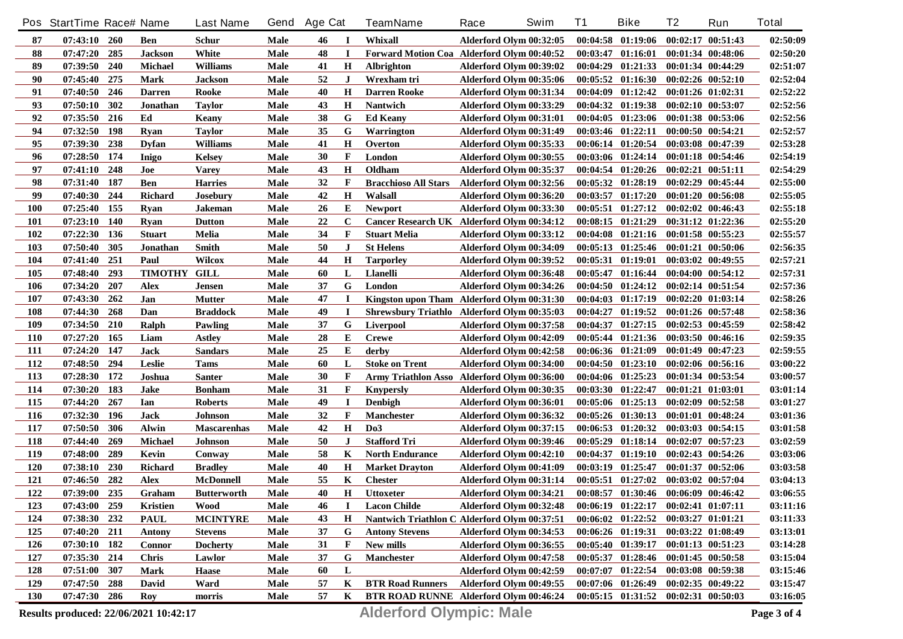|            | Pos StartTime Race# Name              |            |                     | <b>Last Name</b>   | Gend | <b>Age Cat</b> |              | <b>TeamName</b>                               | Race                    | Swim | <b>T1</b> | <b>Bike</b>                         | T <sub>2</sub>        | Run               | <b>Total</b> |
|------------|---------------------------------------|------------|---------------------|--------------------|------|----------------|--------------|-----------------------------------------------|-------------------------|------|-----------|-------------------------------------|-----------------------|-------------------|--------------|
| 87         | $07:43:10$ 260                        |            | Ben                 | Schur              | Male | 46             | $\bf{I}$     | Whixall                                       | Alderford Olym 00:32:05 |      |           | $00:04:58$ $01:19:06$               | $00:02:17$ $00:51:43$ |                   | 02:50:09     |
| 88         | 07:47:20                              | 285        | <b>Jackson</b>      | White              | Male | 48             | $\mathbf I$  | Forward Motion Coa Alderford Olym 00:40:52    |                         |      |           | $00:03:47$ $01:16:01$               | 00:01:34 00:48:06     |                   | 02:50:20     |
| 89         | 07:39:50                              | 240        | <b>Michael</b>      | <b>Williams</b>    | Male | 41             | Н            | <b>Albrighton</b>                             | Alderford Olym 00:39:02 |      |           | $00:04:29$ $01:21:33$               | 00:01:34 00:44:29     |                   | 02:51:07     |
| 90         | 07:45:40                              | 275        | Mark                | <b>Jackson</b>     | Male | 52             | $\bf J$      | Wrexham tri                                   | Alderford Olym 00:35:06 |      |           | $00:05:52$ $01:16:30$               | $00:02:26$ $00:52:10$ |                   | 02:52:04     |
| 91         | 07:40:50                              | 246        | <b>Darren</b>       | Rooke              | Male | 40             | Н            | <b>Darren Rooke</b>                           | Alderford Olym 00:31:34 |      |           | $00:04:09$ $01:12:42$               | 00:01:26 01:02:31     |                   | 02:52:22     |
| 93         | 07:50:10                              | 302        | Jonathan            | <b>Taylor</b>      | Male | 43             | Н            | <b>Nantwich</b>                               | Alderford Olym 00:33:29 |      |           | $00:04:32$ $01:19:38$               | $00:02:10$ $00:53:07$ |                   | 02:52:56     |
| 92         | 07:35:50                              | 216        | Ed                  | Keany              | Male | 38             | G            | <b>Ed Keany</b>                               | Alderford Olym 00:31:01 |      |           | 00:04:05 01:23:06 00:01:38 00:53:06 |                       |                   | 02:52:56     |
| 94         | 07:32:50                              | 198        | <b>Ryan</b>         | <b>Taylor</b>      | Male | 35             | G            | Warrington                                    | Alderford Olym 00:31:49 |      |           | $00:03:46$ $01:22:11$               | $00:00:50$ $00:54:21$ |                   | 02:52:57     |
| 95         | 07:39:30                              | 238        | <b>Dyfan</b>        | <b>Williams</b>    | Male | 41             | Н            | Overton                                       | Alderford Olym 00:35:33 |      |           | $00:06:14$ $01:20:54$               | 00:03:08 00:47:39     |                   | 02:53:28     |
| 96         | 07:28:50                              | 174        | Inigo               | <b>Kelsey</b>      | Male | 30             | F            | London                                        | Alderford Olym 00:30:55 |      |           | $00:03:06$ $01:24:14$               | $00:01:18$ $00:54:46$ |                   | 02:54:19     |
| 97         | 07:41:10                              | 248        | Joe                 | <b>Varey</b>       | Male | 43             | Н            | Oldham                                        | Alderford Olym 00:35:37 |      |           | $00:04:54$ $01:20:26$               | $00:02:21$ $00:51:11$ |                   | 02:54:29     |
| 98         | 07:31:40                              | 187        | <b>Ben</b>          | <b>Harries</b>     | Male | 32             | F            | <b>Bracchioso All Stars</b>                   | Alderford Olym 00:32:56 |      |           | $00:05:32$ $01:28:19$               | 00:02:29 00:45:44     |                   | 02:55:00     |
| 99         | 07:40:30                              | 244        | <b>Richard</b>      | <b>Josebury</b>    | Male | 42             | Н            | Walsall                                       | Alderford Olym 00:36:20 |      | 00:03:57  | 01:17:20                            | 00:01:20 00:56:08     |                   | 02:55:05     |
| <b>100</b> | 07:25:40                              | 155        | <b>Ryan</b>         | <b>Jakeman</b>     | Male | 26             | Е            | <b>Newport</b>                                | Alderford Olym 00:33:30 |      |           | $00:05:51$ $01:27:12$               | $00:02:02$ $00:46:43$ |                   | 02:55:18     |
| <b>101</b> | 07:23:10                              | <b>140</b> | <b>Ryan</b>         | <b>Dutton</b>      | Male | 22             | $\mathbf C$  | Cancer Research UK Alderford Olym 00:34:12    |                         |      |           | $00:08:15$ $01:21:29$               | $00:31:12$ $01:22:36$ |                   | 02:55:20     |
| 102        | 07:22:30                              | 136        | <b>Stuart</b>       | Melia              | Male | 34             | F            | <b>Stuart Melia</b>                           | Alderford Olym 00:33:12 |      |           | $00:04:08$ $01:21:16$               | 00:01:58 00:55:23     |                   | 02:55:57     |
| 103        | 07:50:40                              | 305        | Jonathan            | Smith              | Male | 50             | $\bf J$      | <b>St Helens</b>                              | Alderford Olym 00:34:09 |      |           | $00:05:13$ $01:25:46$               | 00:01:21 00:50:06     |                   | 02:56:35     |
| 104        | 07:41:40                              | 251        | Paul                | Wilcox             | Male | 44             | $\bf H$      | <b>Tarporley</b>                              | Alderford Olym 00:39:52 |      |           | $00:05:31$ $01:19:01$               | $00:03:02$ $00:49:55$ |                   | 02:57:21     |
| 105        | 07:48:40                              | 293        | <b>TIMOTHY GILL</b> |                    | Male | 60             | L            | Llanelli                                      | Alderford Olym 00:36:48 |      |           | $00:05:47$ $01:16:44$               | $00:04:00$ $00:54:12$ |                   | 02:57:31     |
| 106        | 07:34:20                              | 207        | <b>Alex</b>         | Jensen             | Male | 37             | G            | London                                        | Alderford Olym 00:34:26 |      |           | $00:04:50$ $01:24:12$               | 00:02:14 00:51:54     |                   | 02:57:36     |
| 107        | 07:43:30                              | 262        | Jan                 | <b>Mutter</b>      | Male | 47             | $\mathbf I$  | Kingston upon Tham Alderford Olym 00:31:30    |                         |      |           | $00:04:03$ $01:17:19$               | 00:02:20 01:03:14     |                   | 02:58:26     |
| 108        | 07:44:30                              | 268        | Dan                 | <b>Braddock</b>    | Male | 49             | $\bf I$      | Shrewsbury Triathlo Alderford Olym 00:35:03   |                         |      |           | $00:04:27$ $01:19:52$               | 00:01:26 00:57:48     |                   | 02:58:36     |
| 109        | 07:34:50                              | 210        | Ralph               | Pawling            | Male | 37             | G            | Liverpool                                     | Alderford Olym 00:37:58 |      |           | $00:04:37$ $01:27:15$               | $00:02:53$ $00:45:59$ |                   | 02:58:42     |
| <b>110</b> | 07:27:20                              | 165        | Liam                | <b>Astley</b>      | Male | 28             | E            | <b>Crewe</b>                                  | Alderford Olym 00:42:09 |      |           | $00:05:44$ $01:21:36$               | 00:03:50 00:46:16     |                   | 02:59:35     |
| <b>111</b> | 07:24:20                              | 147        | <b>Jack</b>         | Sandars            | Male | 25             | Е            | derby                                         | Alderford Olym 00:42:58 |      |           | 00:06:36 01:21:09                   | 00:01:49 00:47:23     |                   | 02:59:55     |
| 112        | 07:48:50                              | 294        | Leslie              | <b>Tams</b>        | Male | 60             | L            | <b>Stoke on Trent</b>                         | Alderford Olym 00:34:00 |      |           | $00:04:50$ $01:23:10$               | 00:02:06 00:56:16     |                   | 03:00:22     |
| 113        | 07:28:30                              | 172        | Joshua              | <b>Santer</b>      | Male | 30             | $\mathbf{F}$ | Army Triathlon Asso Alderford Olym 00:36:00   |                         |      |           | 00:04:06 01:25:23                   | 00:01:34 00:53:54     |                   | 03:00:57     |
| 114        | 07:30:20                              | 183        | <b>Jake</b>         | <b>Bonham</b>      | Male | 31             | F            | <b>Knypersly</b>                              | Alderford Olym 00:30:35 |      |           | 00:03:30 01:22:47                   | 00:01:21 01:03:01     |                   | 03:01:14     |
| 115        | 07:44:20                              | 267        | Ian                 | <b>Roberts</b>     | Male | 49             | $\bf{I}$     | <b>Denbigh</b>                                | Alderford Olym 00:36:01 |      |           | $00:05:06$ $01:25:13$               | $00:02:09$ $00:52:58$ |                   | 03:01:27     |
| 116        | 07:32:30                              | 196        | <b>Jack</b>         | Johnson            | Male | 32             | F            | <b>Manchester</b>                             | Alderford Olym 00:36:32 |      |           | $00:05:26$ $01:30:13$               | 00:01:01 00:48:24     |                   | 03:01:36     |
| 117        | 07:50:50                              | 306        | Alwin               | <b>Mascarenhas</b> | Male | 42             | $\mathbf H$  | D <sub>0</sub> 3                              | Alderford Olym 00:37:15 |      |           | $00:06:53$ $01:20:32$               | 00:03:03 00:54:15     |                   | 03:01:58     |
| 118        | 07:44:40                              | 269        | Michael             | <b>Johnson</b>     | Male | 50             | J            | <b>Stafford Tri</b>                           | Alderford Olym 00:39:46 |      | 00:05:29  | 01:18:14                            | 00:02:07 00:57:23     |                   | 03:02:59     |
| 119        | 07:48:00                              | 289        | Kevin               | Conway             | Male | 58             | K            | <b>North Endurance</b>                        | Alderford Olym 00:42:10 |      | 00:04:37  | 01:19:10                            | 00:02:43 00:54:26     |                   | 03:03:06     |
| <b>120</b> | 07:38:10                              | 230        | <b>Richard</b>      | <b>Bradley</b>     | Male | 40             | Н            | <b>Market Drayton</b>                         | Alderford Olym 00:41:09 |      |           | $00:03:19$ $01:25:47$               |                       | 00:01:37 00:52:06 | 03:03:58     |
| 121        | 07:46:50                              | 282        | <b>Alex</b>         | <b>McDonnell</b>   | Male | 55             | K            | <b>Chester</b>                                | Alderford Olym 00:31:14 |      |           | $00:05:51$ $01:27:02$               | 00:03:02 00:57:04     |                   | 03:04:13     |
| 122        | 07:39:00                              | 235        | Graham              | <b>Butterworth</b> | Male | 40             | Н            | <b>Uttoxeter</b>                              | Alderford Olym 00:34:21 |      |           | $00:08:57$ $01:30:46$               | 00:06:09 00:46:42     |                   | 03:06:55     |
| 123        | $07:43:00$ 259                        |            | <b>Kristien</b>     | <b>Wood</b>        | Male | 46             | -1           | <b>Lacon Childe</b>                           | Alderford Olym 00:32:48 |      |           | 00:06:19 01:22:17 00:02:41 01:07:11 |                       |                   | 03:11:16     |
| 124        | 07:38:30 232                          |            | <b>PAUL</b>         | <b>MCINTYRE</b>    | Male | 43             | H            | Nantwich Triathlon C Alderford Olym 00:37:51  |                         |      |           | $00:06:02$ $01:22:52$               | $00:03:27$ $01:01:21$ |                   | 03:11:33     |
| 125        | 07:40:20 211                          |            | <b>Antony</b>       | <b>Stevens</b>     | Male | 37             | G            | <b>Antony Stevens</b>                         | Alderford Olym 00:34:53 |      |           | $00:06:26$ $01:19:31$               | 00:03:22 01:08:49     |                   | 03:13:01     |
| 126        | 07:30:10 182                          |            | <b>Connor</b>       | <b>Docherty</b>    | Male | 31             | F            | New mills                                     | Alderford Olym 00:36:55 |      |           | $00:05:40$ $01:39:17$               | 00:01:13 00:51:23     |                   | 03:14:28     |
| 127        | 07:35:30 214                          |            | <b>Chris</b>        | Lawlor             | Male | 37             | G            | <b>Manchester</b>                             | Alderford Olym 00:47:58 |      |           | $00:05:37$ $01:28:46$               | $00:01:45$ $00:50:58$ |                   | 03:15:04     |
| 128        | 07:51:00                              | 307        | Mark                | <b>Haase</b>       | Male | 60             | L            |                                               | Alderford Olym 00:42:59 |      |           | $00:07:07$ $01:22:54$               | 00:03:08 00:59:38     |                   | 03:15:46     |
| 129        | 07:47:50                              | 288        | David               | Ward               | Male | 57             | K            | <b>BTR Road Runners</b>                       | Alderford Olym 00:49:55 |      |           | 00:07:06 01:26:49                   | $00:02:35$ $00:49:22$ |                   | 03:15:47     |
| <b>130</b> | 07:47:30 286                          |            | Roy                 | morris             | Male | 57             | $\mathbf{K}$ | <b>BTR ROAD RUNNE</b> Alderford Olym 00:46:24 |                         |      |           | $00:05:15$ $01:31:52$               | 00:02:31 00:50:03     |                   | 03:16:05     |
|            |                                       |            |                     |                    |      |                |              |                                               |                         |      |           |                                     |                       |                   |              |
|            | Results produced: 22/06/2021 10:42:17 |            |                     |                    |      |                |              | <b>Alderford Olympic: Male</b>                |                         |      |           |                                     |                       |                   | Page 3 of 4  |